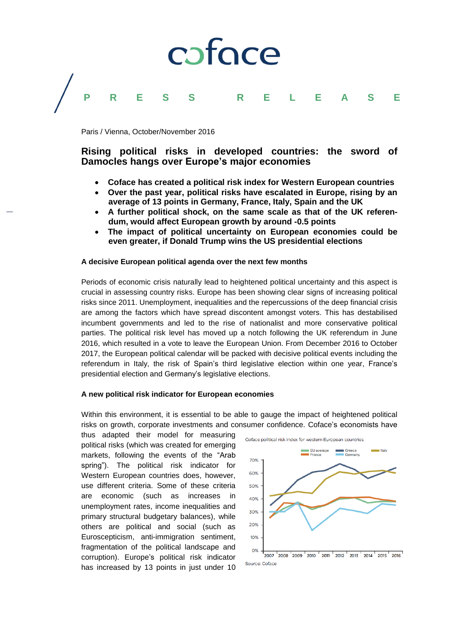# coface **PRESS RELEASE**

Paris / Vienna, October/November 2016

## **Rising political risks in developed countries: the sword of Damocles hangs over Europe's major economies**

- **Coface has created a political risk index for Western European countries**
- **Over the past year, political risks have escalated in Europe, rising by an average of 13 points in Germany, France, Italy, Spain and the UK**
- **A further political shock, on the same scale as that of the UK referendum, would affect European growth by around -0.5 points**
- **The impact of political uncertainty on European economies could be even greater, if Donald Trump wins the US presidential elections**

### **A decisive European political agenda over the next few months**

Periods of economic crisis naturally lead to heightened political uncertainty and this aspect is crucial in assessing country risks. Europe has been showing clear signs of increasing political risks since 2011. Unemployment, inequalities and the repercussions of the deep financial crisis are among the factors which have spread discontent amongst voters. This has destabilised incumbent governments and led to the rise of nationalist and more conservative political parties. The political risk level has moved up a notch following the UK referendum in June 2016, which resulted in a vote to leave the European Union. From December 2016 to October 2017, the European political calendar will be packed with decisive political events including the referendum in Italy, the risk of Spain's third legislative election within one year, France's presidential election and Germany's legislative elections.

### **A new political risk indicator for European economies**

Within this environment, it is essential to be able to gauge the impact of heightened political risks on growth, corporate investments and consumer confidence. Coface's economists have

thus adapted their model for measuring political risks (which was created for emerging markets, following the events of the "Arab spring"). The political risk indicator for Western European countries does, however, use different criteria. Some of these criteria are economic (such as increases in unemployment rates, income inequalities and primary structural budgetary balances), while others are political and social (such as Euroscepticism, anti-immigration sentiment, fragmentation of the political landscape and corruption). Europe's political risk indicator has increased by 13 points in just under 10

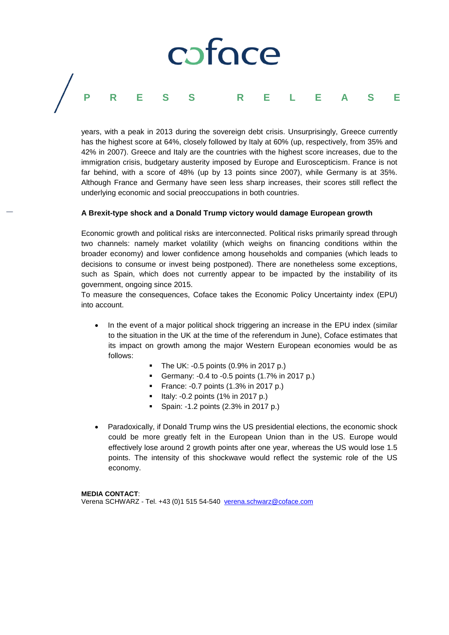# coface **PRESS RELEASE**

years, with a peak in 2013 during the sovereign debt crisis. Unsurprisingly, Greece currently has the highest score at 64%, closely followed by Italy at 60% (up, respectively, from 35% and 42% in 2007). Greece and Italy are the countries with the highest score increases, due to the immigration crisis, budgetary austerity imposed by Europe and Euroscepticism. France is not far behind, with a score of 48% (up by 13 points since 2007), while Germany is at 35%. Although France and Germany have seen less sharp increases, their scores still reflect the underlying economic and social preoccupations in both countries.

### **A Brexit-type shock and a Donald Trump victory would damage European growth**

Economic growth and political risks are interconnected. Political risks primarily spread through two channels: namely market volatility (which weighs on financing conditions within the broader economy) and lower confidence among households and companies (which leads to decisions to consume or invest being postponed). There are nonetheless some exceptions, such as Spain, which does not currently appear to be impacted by the instability of its government, ongoing since 2015.

To measure the consequences, Coface takes the Economic Policy Uncertainty index (EPU) into account.

- In the event of a major political shock triggering an increase in the EPU index (similar to the situation in the UK at the time of the referendum in June), Coface estimates that its impact on growth among the major Western European economies would be as follows:
	- $\blacksquare$  The UK: -0.5 points (0.9% in 2017 p.)
	- Germany:  $-0.4$  to  $-0.5$  points  $(1.7\%$  in 2017 p.)
	- **France: -0.7 points (1.3% in 2017 p.)**
	- $\blacksquare$  Italy: -0.2 points (1% in 2017 p.)
	- Spain: -1.2 points (2.3% in 2017 p.)
- Paradoxically, if Donald Trump wins the US presidential elections, the economic shock could be more greatly felt in the European Union than in the US. Europe would effectively lose around 2 growth points after one year, whereas the US would lose 1.5 points. The intensity of this shockwave would reflect the systemic role of the US economy.

**MEDIA CONTACT**: Verena SCHWARZ - Tel. +43 (0)1 515 54-540 [verena.schwarz@coface.com](mailto:verena.schwarz@coface.com)